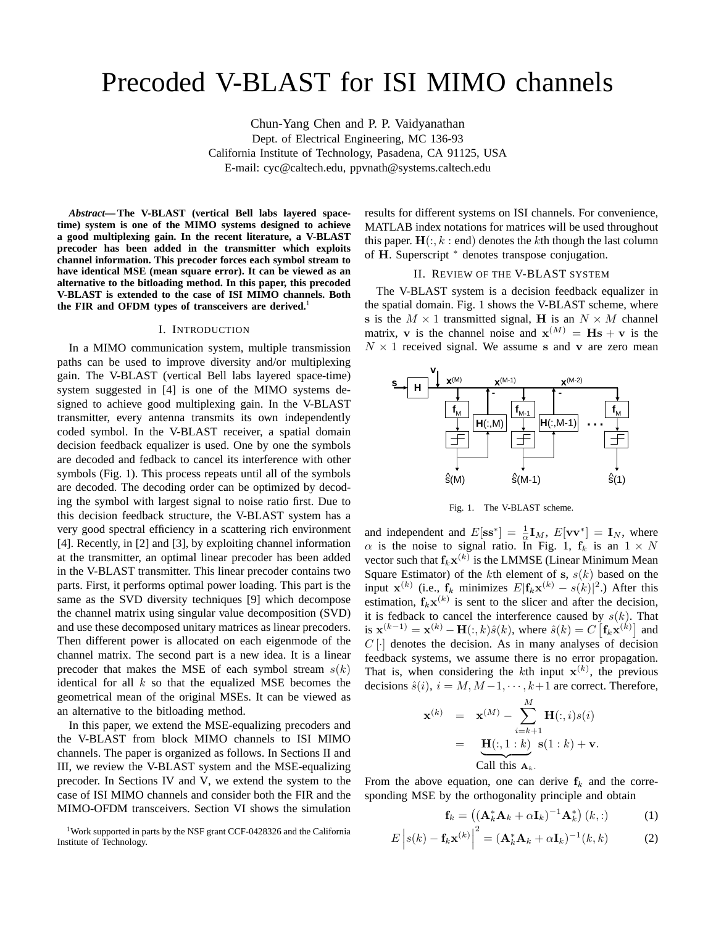# Precoded V-BLAST for ISI MIMO channels

Chun-Yang Chen and P. P. Vaidyanathan Dept. of Electrical Engineering, MC 136-93 California Institute of Technology, Pasadena, CA 91125, USA E-mail: cyc@caltech.edu, ppvnath@systems.caltech.edu

*Abstract***— The V-BLAST (vertical Bell labs layered spacetime) system is one of the MIMO systems designed to achieve a good multiplexing gain. In the recent literature, a V-BLAST precoder has been added in the transmitter which exploits channel information. This precoder forces each symbol stream to have identical MSE (mean square error). It can be viewed as an alternative to the bitloading method. In this paper, this precoded V-BLAST is extended to the case of ISI MIMO channels. Both** the FIR and OFDM types of transceivers are derived.<sup>1</sup>

## I. INTRODUCTION

In a MIMO communication system, multiple transmission paths can be used to improve diversity and/or multiplexing gain. The V-BLAST (vertical Bell labs layered space-time) system suggested in [4] is one of the MIMO systems designed to achieve good multiplexing gain. In the V-BLAST transmitter, every antenna transmits its own independently coded symbol. In the V-BLAST receiver, a spatial domain decision feedback equalizer is used. One by one the symbols are decoded and fedback to cancel its interference with other symbols (Fig. 1). This process repeats until all of the symbols are decoded. The decoding order can be optimized by decoding the symbol with largest signal to noise ratio first. Due to this decision feedback structure, the V-BLAST system has a very good spectral efficiency in a scattering rich environment [4]. Recently, in [2] and [3], by exploiting channel information at the transmitter, an optimal linear precoder has been added in the V-BLAST transmitter. This linear precoder contains two parts. First, it performs optimal power loading. This part is the same as the SVD diversity techniques [9] which decompose the channel matrix using singular value decomposition (SVD) and use these decomposed unitary matrices as linear precoders. Then different power is allocated on each eigenmode of the channel matrix. The second part is a new idea. It is a linear precoder that makes the MSE of each symbol stream  $s(k)$ identical for all  $k$  so that the equalized MSE becomes the geometrical mean of the original MSEs. It can be viewed as an alternative to the bitloading method.

In this paper, we extend the MSE-equalizing precoders and the V-BLAST from block MIMO channels to ISI MIMO channels. The paper is organized as follows. In Sections II and III, we review the V-BLAST system and the MSE-equalizing precoder. In Sections IV and V, we extend the system to the case of ISI MIMO channels and consider both the FIR and the MIMO-OFDM transceivers. Section VI shows the simulation

<sup>1</sup>Work supported in parts by the NSF grant CCF-0428326 and the California Institute of Technology.

results for different systems on ISI channels. For convenience, MATLAB index notations for matrices will be used throughout this paper.  $H(:, k : end)$  denotes the kth though the last column of **H**. Superscript  $*$  denotes transpose conjugation.

#### II. REVIEW OF THE V-BLAST SYSTEM

The V-BLAST system is a decision feedback equalizer in the spatial domain. Fig. 1 shows the V-BLAST scheme, where **s** is the  $M \times 1$  transmitted signal, **H** is an  $N \times M$  channel matrix, **v** is the channel noise and  $\mathbf{x}^{(M)} = \mathbf{H}\mathbf{s} + \mathbf{v}$  is the  $N \times 1$  received signal. We assume **s** and **v** are zero mean



Fig. 1. The V-BLAST scheme.

and independent and  $E[\mathbf{s} s^*] = \frac{1}{\alpha} \mathbf{I}_M$ ,  $E[\mathbf{v} \mathbf{v}^*] = \mathbf{I}_N$ , where  $\alpha$  is the noise to signal ratio. In Fig. 1,  $f_k$  is an  $1 \times N$ vector such that  $f_k \mathbf{x}^{(k)}$  is the LMMSE (Linear Minimum Mean Square Estimator) of the kth element of **s**,  $s(k)$  based on the input **x**<sup>(k)</sup> (i.e., **f**<sub>k</sub> minimizes  $E$ |**f**<sub>k</sub>**x**<sup>(k)</sup> – s(k)|<sup>2</sup>.) After this estimation,  $f_k \mathbf{x}^{(k)}$  is sent to the slicer and after the decision, it is fedback to cancel the interference caused by  $s(k)$ . That is  $\mathbf{x}^{(k-1)} = \mathbf{x}^{(k)} - \mathbf{H}(:,k)\hat{s}(k)$ , where  $\hat{s}(k) = C \left[ \mathbf{f}_k \mathbf{x}^{(k)} \right]$  and  $C[\cdot]$  denotes the decision. As in many analyses of decision feedback systems, we assume there is no error propagation. That is, when considering the kth input  $x^{(k)}$ , the previous decisions  $\hat{s}(i)$ ,  $i = M, M-1, \dots, k+1$  are correct. Therefore,

$$
\mathbf{x}^{(k)} = \mathbf{x}^{(M)} - \sum_{i=k+1}^{M} \mathbf{H}(:,i)s(i)
$$
  
= 
$$
\underbrace{\mathbf{H}(:,1:k)}_{\text{Call this } \mathbf{A}_k} \mathbf{s}(1:k) + \mathbf{v}.
$$

From the above equation, one can derive  $f_k$  and the corresponding MSE by the orthogonality principle and obtain

$$
\mathbf{f}_k = \left( \left( \mathbf{A}_k^* \mathbf{A}_k + \alpha \mathbf{I}_k \right)^{-1} \mathbf{A}_k^* \right) (k, :)
$$
 (1)

$$
E\left|s(k) - \mathbf{f}_k \mathbf{x}^{(k)}\right|^2 = (\mathbf{A}_k^* \mathbf{A}_k + \alpha \mathbf{I}_k)^{-1}(k, k) \tag{2}
$$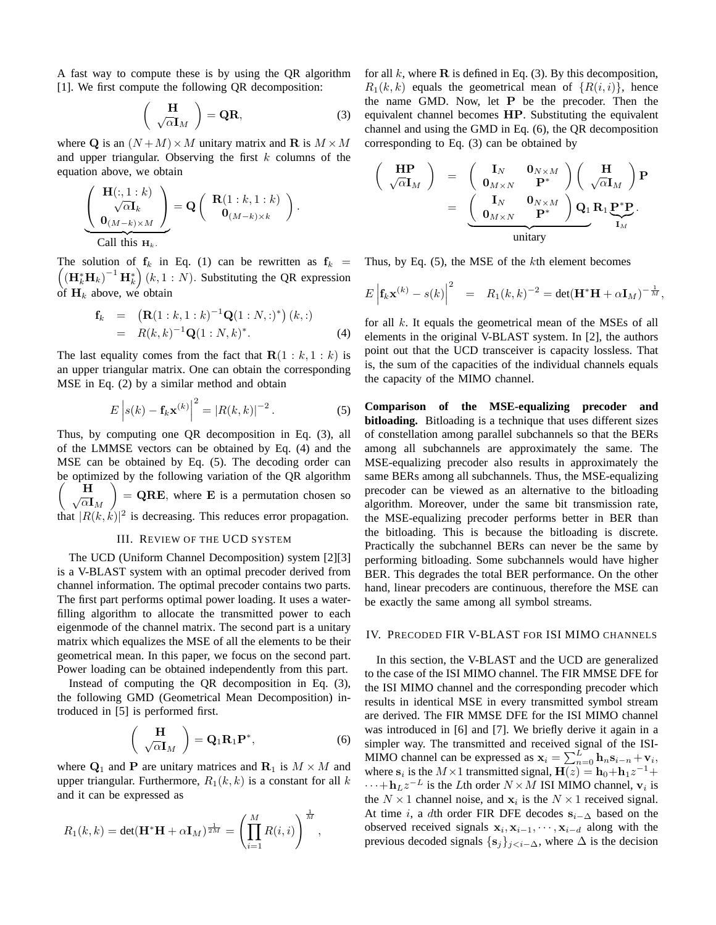A fast way to compute these is by using the QR algorithm [1]. We first compute the following QR decomposition:

$$
\begin{pmatrix} \mathbf{H} \\ \sqrt{\alpha} \mathbf{I}_M \end{pmatrix} = \mathbf{Q} \mathbf{R},\tag{3}
$$

where Q is an  $(N+M) \times M$  unitary matrix and **R** is  $M \times M$ and upper triangular. Observing the first  $k$  columns of the equation above, we obtain

$$
\left(\begin{array}{c}\n\mathbf{H}(:,1:k) \\
\sqrt{\alpha}\mathbf{I}_k \\
\mathbf{0}_{(M-k)\times M}\n\end{array}\right) = \mathbf{Q} \left(\begin{array}{c}\n\mathbf{R}(1:k,1:k) \\
\mathbf{0}_{(M-k)\times k}\n\end{array}\right).
$$
\nCall this  $\mathbf{H}_k$ .

The solution of  $f_k$  in Eq. (1) can be rewritten as  $f_k =$  $((\mathbf{H}_{k}^{*}\mathbf{H}_{k})^{-1}\mathbf{H}_{k}^{*})(k, 1:N)$ . Substituting the QR expression of  $H_k$  above, we obtain

$$
\mathbf{f}_k = (\mathbf{R}(1:k,1:k)^{-1}\mathbf{Q}(1:N,:)^*) (k,:)
$$
  
=  $R(k,k)^{-1}\mathbf{Q}(1:N,k)^*$ . (4)

The last equality comes from the fact that  $\mathbf{R}(1 : k, 1 : k)$  is an upper triangular matrix. One can obtain the corresponding MSE in Eq. (2) by a similar method and obtain

$$
E\left| s(k) - \mathbf{f}_k \mathbf{x}^{(k)} \right|^2 = |R(k,k)|^{-2}.
$$
 (5)

Thus, by computing one QR decomposition in Eq. (3), all of the LMMSE vectors can be obtained by Eq. (4) and the MSE can be obtained by Eq. (5). The decoding order can be optimized by the following variation of the QR algorithm  $\begin{pmatrix} \mathbf{H} \\ \sqrt{\alpha} \mathbf{I}_M \end{pmatrix}$  = QRE, where E is a permutation chosen so that  $|R(k, k)|^2$  is decreasing. This reduces error propagation.

# III. REVIEW OF THE UCD SYSTEM

The UCD (Uniform Channel Decomposition) system [2][3] is a V-BLAST system with an optimal precoder derived from channel information. The optimal precoder contains two parts. The first part performs optimal power loading. It uses a waterfilling algorithm to allocate the transmitted power to each eigenmode of the channel matrix. The second part is a unitary matrix which equalizes the MSE of all the elements to be their geometrical mean. In this paper, we focus on the second part. Power loading can be obtained independently from this part.

Instead of computing the QR decomposition in Eq. (3), the following GMD (Geometrical Mean Decomposition) introduced in [5] is performed first.

$$
\left(\begin{array}{c}\n\mathbf{H} \\
\sqrt{\alpha}\mathbf{I}_M\n\end{array}\right) = \mathbf{Q}_1 \mathbf{R}_1 \mathbf{P}^*,
$$
\n(6)

where  $\mathbf{Q}_1$  and **P** are unitary matrices and  $\mathbf{R}_1$  is  $M \times M$  and upper triangular. Furthermore,  $R_1(k, k)$  is a constant for all k and it can be expressed as

$$
R_1(k,k) = \det(\mathbf{H}^* \mathbf{H} + \alpha \mathbf{I}_M)^{\frac{1}{2M}} = \left(\prod_{i=1}^M R(i,i)\right)^{\frac{1}{M}},
$$

for all k, where  $\bf{R}$  is defined in Eq. (3). By this decomposition,  $R_1(k, k)$  equals the geometrical mean of  $\{R(i, i)\}\$ , hence the name GMD. Now, let **P** be the precoder. Then the equivalent channel becomes **HP**. Substituting the equivalent channel and using the GMD in Eq. (6), the QR decomposition corresponding to Eq. (3) can be obtained by

$$
\left(\begin{array}{c}\n\mathbf{HP} \\
\sqrt{\alpha}\mathbf{I}_M\n\end{array}\right) = \left(\begin{array}{cc}\n\mathbf{I}_N & \mathbf{0}_{N \times M} \\
\mathbf{0}_{M \times N} & \mathbf{P}^*\n\end{array}\right) \left(\begin{array}{c}\n\mathbf{H} \\
\sqrt{\alpha}\mathbf{I}_M\n\end{array}\right) \mathbf{P} \\
= \underbrace{\left(\begin{array}{cc}\n\mathbf{I}_N & \mathbf{0}_{N \times M} \\
\mathbf{0}_{M \times N} & \mathbf{P}^*\n\end{array}\right) \mathbf{Q}_1}_{\text{unitary}} \mathbf{R}_1 \underbrace{\mathbf{P}^* \mathbf{P}}_{\mathbf{I}_M}.
$$

Thus, by Eq.  $(5)$ , the MSE of the kth element becomes

$$
E\left|\mathbf{f}_k\mathbf{x}^{(k)} - s(k)\right|^2 = R_1(k,k)^{-2} = \det(\mathbf{H}^* \mathbf{H} + \alpha \mathbf{I}_M)^{-\frac{1}{M}},
$$

for all k. It equals the geometrical mean of the MSEs of all elements in the original V-BLAST system. In [2], the authors point out that the UCD transceiver is capacity lossless. That is, the sum of the capacities of the individual channels equals the capacity of the MIMO channel.

**Comparison of the MSE-equalizing precoder and bitloading.** Bitloading is a technique that uses different sizes of constellation among parallel subchannels so that the BERs among all subchannels are approximately the same. The MSE-equalizing precoder also results in approximately the same BERs among all subchannels. Thus, the MSE-equalizing precoder can be viewed as an alternative to the bitloading algorithm. Moreover, under the same bit transmission rate, the MSE-equalizing precoder performs better in BER than the bitloading. This is because the bitloading is discrete. Practically the subchannel BERs can never be the same by performing bitloading. Some subchannels would have higher BER. This degrades the total BER performance. On the other hand, linear precoders are continuous, therefore the MSE can be exactly the same among all symbol streams.

# IV. PRECODED FIR V-BLAST FOR ISI MIMO CHANNELS

In this section, the V-BLAST and the UCD are generalized to the case of the ISI MIMO channel. The FIR MMSE DFE for the ISI MIMO channel and the corresponding precoder which results in identical MSE in every transmitted symbol stream are derived. The FIR MMSE DFE for the ISI MIMO channel was introduced in [6] and [7]. We briefly derive it again in a simpler way. The transmitted and received signal of the ISI-MIMO channel can be expressed as  $\mathbf{x}_i = \sum_{n=0}^{L} \mathbf{h}_n \mathbf{s}_{i-n} + \mathbf{v}_i$ , where  $\mathbf{s}_i$  is the  $M \times 1$  transmitted signal,  $\mathbf{H}(z) = \mathbf{h}_0 + \mathbf{h}_1 z^{-1} + \mathbf{h}_2 z^{-1}$  $\cdots + \mathbf{h}_L z^{-L}$  is the Lth order  $N \times M$  ISI MIMO channel,  $\mathbf{v}_i$  is the  $N \times 1$  channel noise, and  $\mathbf{x}_i$  is the  $N \times 1$  received signal. At time *i*, a dth order FIR DFE decodes  $s_{i-\Delta}$  based on the observed received signals  $\mathbf{x}_i, \mathbf{x}_{i-1}, \dots, \mathbf{x}_{i-d}$  along with the previous decoded signals  $\{s_j\}_{j\leq i-\Delta}$ , where  $\Delta$  is the decision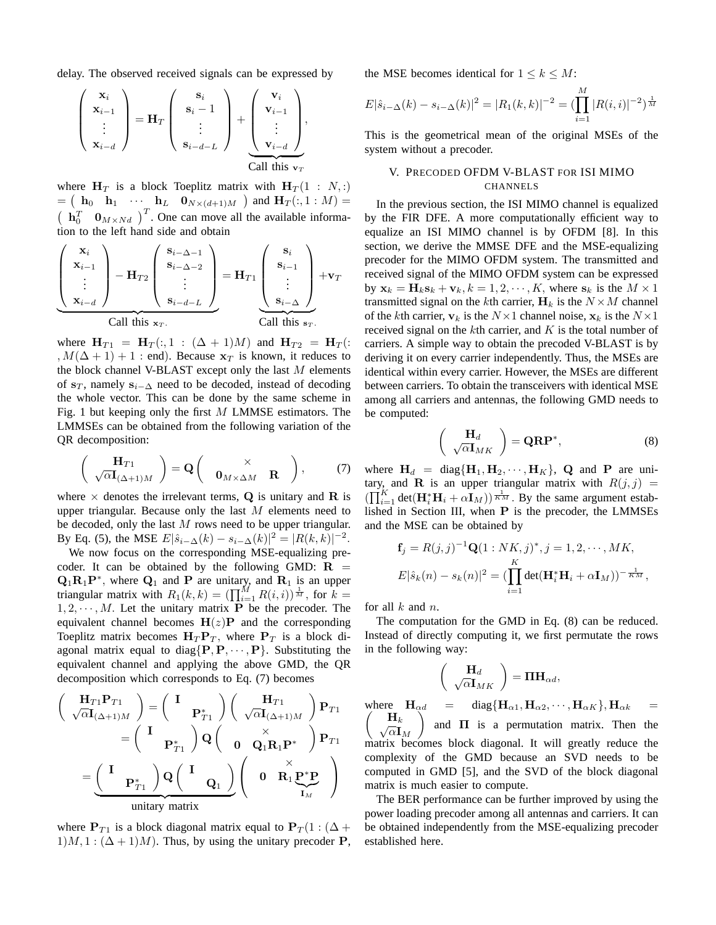delay. The observed received signals can be expressed by

$$
\begin{pmatrix} \mathbf{x}_i \\ \mathbf{x}_{i-1} \\ \vdots \\ \mathbf{x}_{i-d} \end{pmatrix} = \mathbf{H}_T \begin{pmatrix} \mathbf{s}_i \\ \mathbf{s}_i - 1 \\ \vdots \\ \mathbf{s}_{i-d-L} \end{pmatrix} + \begin{pmatrix} \mathbf{v}_i \\ \mathbf{v}_{i-1} \\ \vdots \\ \mathbf{v}_{i-d} \end{pmatrix},
$$
Call this  $\mathbf{v}_T$ 

where  $H_T$  is a block Toeplitz matrix with  $H_T(1 : N, :)$  $=$   $\begin{pmatrix} \mathbf{h}_0 & \mathbf{h}_1 & \cdots & \mathbf{h}_L & \mathbf{0}_{N \times (d+1)M} \end{pmatrix}$  and  $\mathbf{H}_T(:,1:M) =$  $\left(\begin{array}{cc} \mathbf{h}_0^T & \mathbf{0}_{M \times Nd} \end{array}\right)^T$ . One can move all the available information to the left hand side and obtain

$$
\left(\begin{array}{c}\n\mathbf{x}_{i} \\
\mathbf{x}_{i-1} \\
\vdots \\
\mathbf{x}_{i-d}\n\end{array}\right) - \mathbf{H}_{T2}\left(\begin{array}{c}\n\mathbf{s}_{i-\Delta-1} \\
\mathbf{s}_{i-\Delta-2} \\
\vdots \\
\mathbf{s}_{i-d-L}\n\end{array}\right) = \mathbf{H}_{T1}\left(\begin{array}{c}\n\mathbf{s}_{i} \\
\mathbf{s}_{i-1} \\
\vdots \\
\mathbf{s}_{i-\Delta}\n\end{array}\right) + \mathbf{v}_{T}
$$
\nCall this  $\mathbf{x}_{T}$ .

where  $H_{T1} = H_T(:,1:(\Delta + 1)M)$  and  $H_{T2} = H_T(:,1:(\Delta + 1)M)$ ,  $M(\Delta + 1) + 1$ : end). Because  $\mathbf{x}_T$  is known, it reduces to the block channel V-BLAST except only the last  $M$  elements of  $s_T$ , namely  $s_{i-\Delta}$  need to be decoded, instead of decoding the whole vector. This can be done by the same scheme in Fig. 1 but keeping only the first M LMMSE estimators. The LMMSEs can be obtained from the following variation of the QR decomposition:

$$
\begin{pmatrix} \mathbf{H}_{T1} \\ \sqrt{\alpha} \mathbf{I}_{(\Delta+1)M} \end{pmatrix} = \mathbf{Q} \begin{pmatrix} \times \\ \mathbf{0}_{M \times \Delta M} & \mathbf{R} \end{pmatrix}, \qquad (7)
$$

where  $\times$  denotes the irrelevant terms, **Q** is unitary and **R** is upper triangular. Because only the last  $M$  elements need to be decoded, only the last  $M$  rows need to be upper triangular. By Eq. (5), the MSE  $E|\hat{s}_{i-\Delta}(k) - s_{i-\Delta}(k)|^2 = |R(k,k)|^{-2}$ .

We now focus on the corresponding MSE-equalizing precoder. It can be obtained by the following GMD:  $\bf{R}$  =  $\mathbf{Q}_1 \mathbf{R}_1 \mathbf{P}^*$ , where  $\mathbf{Q}_1$  and **P** are unitary, and  $\mathbf{R}_1$  is an upper triangular matrix with  $R_1(k, k) = (\prod_{i=1}^M R(i, i))^{\frac{1}{M}}$ , for  $k =$  $1, 2, \dots, M$ . Let the unitary matrix **P** be the precoder. The equivalent channel becomes  $H(z)P$  and the corresponding Toeplitz matrix becomes  $H_T P_T$ , where  $P_T$  is a block diagonal matrix equal to diag $\{P, P, \dots, P\}$ . Substituting the equivalent channel and applying the above GMD, the QR decomposition which corresponds to Eq. (7) becomes

$$
\begin{pmatrix}\n\mathbf{H}_{T1}\mathbf{P}_{T1} \\
\sqrt{\alpha}\mathbf{I}_{(\Delta+1)M}\n\end{pmatrix} = \begin{pmatrix}\n\mathbf{I} & \mathbf{p}_{T1} \\
\mathbf{p}_{T1}^*\n\end{pmatrix} \begin{pmatrix}\n\mathbf{H}_{T1} \\
\sqrt{\alpha}\mathbf{I}_{(\Delta+1)M}\n\end{pmatrix} \mathbf{P}_{T1} \\
= \begin{pmatrix}\n\mathbf{I} & \mathbf{p}_{T1} \\
\mathbf{p}_{T1}^*\n\end{pmatrix} \mathbf{Q} \begin{pmatrix}\n\mathbf{I} & \mathbf{Q}_1 \\
\mathbf{Q}_1\n\end{pmatrix} \begin{pmatrix}\n\mathbf{X} & \mathbf{X} \\
\mathbf{X} & \mathbf{Y} \\
\mathbf{X} & \mathbf{Y} \\
\mathbf{X} & \mathbf{Y}\n\end{pmatrix}
$$
\n
$$
= \underbrace{\begin{pmatrix}\n\mathbf{I} & \mathbf{P}_{T1} \\
\mathbf{P}_{T1}^*\n\end{pmatrix} \mathbf{Q} \begin{pmatrix}\n\mathbf{I} & \mathbf{Q}_1 \\
\mathbf{Q}_1\n\end{pmatrix}}_{\text{unitary matrix}}
$$

where  $P_{T1}$  is a block diagonal matrix equal to  $P_T(1:(\Delta +$  $1)M$ ,  $1$  :  $(\Delta + 1)M$ ). Thus, by using the unitary precoder **P**, the MSE becomes identical for  $1 \leq k \leq M$ :

$$
E|\hat{s}_{i-\Delta}(k) - s_{i-\Delta}(k)|^2 = |R_1(k,k)|^{-2} = (\prod_{i=1}^M |R(i,i)|^{-2})^{\frac{1}{M}}
$$

This is the geometrical mean of the original MSEs of the system without a precoder.

# V. PRECODED OFDM V-BLAST FOR ISI MIMO CHANNELS

In the previous section, the ISI MIMO channel is equalized by the FIR DFE. A more computationally efficient way to equalize an ISI MIMO channel is by OFDM [8]. In this section, we derive the MMSE DFE and the MSE-equalizing precoder for the MIMO OFDM system. The transmitted and received signal of the MIMO OFDM system can be expressed by  $\mathbf{x}_k = \mathbf{H}_k \mathbf{s}_k + \mathbf{v}_k, k = 1, 2, \cdots, K$ , where  $\mathbf{s}_k$  is the  $M \times 1$ transmitted signal on the kth carrier,  $H_k$  is the  $N \times M$  channel of the kth carrier,  $v_k$  is the  $N \times 1$  channel noise,  $x_k$  is the  $N \times 1$ received signal on the  $k$ th carrier, and  $K$  is the total number of carriers. A simple way to obtain the precoded V-BLAST is by deriving it on every carrier independently. Thus, the MSEs are identical within every carrier. However, the MSEs are different between carriers. To obtain the transceivers with identical MSE among all carriers and antennas, the following GMD needs to be computed:

$$
\begin{pmatrix} \mathbf{H}_d \\ \sqrt{\alpha} \mathbf{I}_{MK} \end{pmatrix} = \mathbf{Q} \mathbf{R} \mathbf{P}^*,\tag{8}
$$

where  $H_d = \text{diag}\{H_1, H_2, \cdots, H_K\}$ , Q and P are unitary, and **R** is an upper triangular matrix with  $R(j, j)$  =  $(\prod_{i=1}^{K} \det(\mathbf{H}_{i}^{*}\mathbf{H}_{i} + \alpha \mathbf{I}_{M})) \stackrel{1}{\overline{\kappa}M}$ . By the same argument established in Section III, when **P** is the precoder, the LMMSEs and the MSE can be obtained by

$$
\mathbf{f}_j = R(j,j)^{-1} \mathbf{Q} (1 : NK, j)^*, j = 1, 2, \cdots, MK,
$$
  

$$
E|\hat{s}_k(n) - s_k(n)|^2 = (\prod_{i=1}^K \det(\mathbf{H}_i^* \mathbf{H}_i + \alpha \mathbf{I}_M))^{-\frac{1}{KN}},
$$

for all  $k$  and  $n$ .

 $wh$  $\sqrt{2}$ 

The computation for the GMD in Eq. (8) can be reduced. Instead of directly computing it, we first permutate the rows in the following way:

$$
\begin{pmatrix}\n\mathbf{H}_d \\
\sqrt{\alpha}\mathbf{I}_{MK}\n\end{pmatrix} = \Pi \mathbf{H}_{\alpha d},
$$
\nwhere  $\mathbf{H}_{\alpha d} = \text{diag}\{\mathbf{H}_{\alpha 1}, \mathbf{H}_{\alpha 2}, \dots, \mathbf{H}_{\alpha K}\}$ ,  $\mathbf{H}_{\alpha k} =$   
\n $\begin{pmatrix}\n\mathbf{H}_k \\
\sqrt{\alpha}\mathbf{I}_M\n\end{pmatrix}$  and  $\Pi$  is a permutation matrix. Then the matrix becomes block diagonal. It will greatly reduce the complexity of the GMD because an SVD needs to be computed in GMD [5], and the SVD of the block diagonal

The BER performance can be further improved by using the power loading precoder among all antennas and carriers. It can be obtained independently from the MSE-equalizing precoder established here.

matrix is much easier to compute.